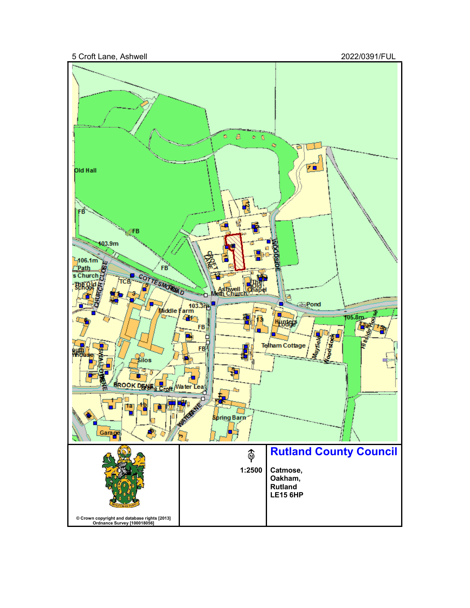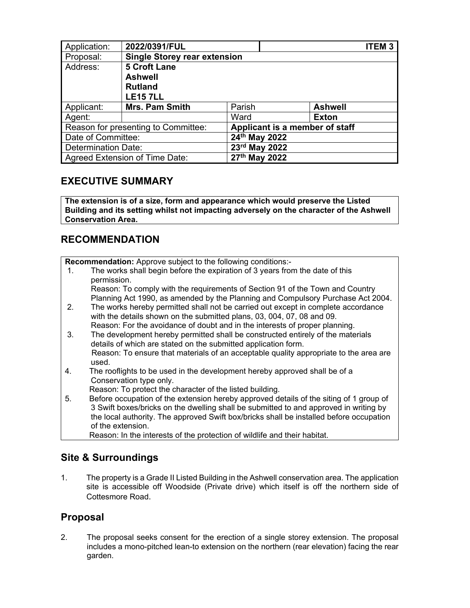| Application:                        | 2022/0391/FUL                       |                                |  |                | <b>ITEM3</b> |
|-------------------------------------|-------------------------------------|--------------------------------|--|----------------|--------------|
| Proposal:                           | <b>Single Storey rear extension</b> |                                |  |                |              |
| Address:                            | <b>5 Croft Lane</b>                 |                                |  |                |              |
|                                     | <b>Ashwell</b>                      |                                |  |                |              |
|                                     | <b>Rutland</b>                      |                                |  |                |              |
|                                     | <b>LE157LL</b>                      |                                |  |                |              |
| Applicant:                          | <b>Mrs. Pam Smith</b>               | Parish                         |  | <b>Ashwell</b> |              |
| Agent:                              |                                     | Ward                           |  | <b>Exton</b>   |              |
| Reason for presenting to Committee: |                                     | Applicant is a member of staff |  |                |              |
| Date of Committee:                  |                                     | 24th May 2022                  |  |                |              |
| <b>Determination Date:</b>          |                                     | 23rd May 2022                  |  |                |              |
| Agreed Extension of Time Date:      |                                     | 27th May 2022                  |  |                |              |

# **EXECUTIVE SUMMARY**

**The extension is of a size, form and appearance which would preserve the Listed Building and its setting whilst not impacting adversely on the character of the Ashwell Conservation Area.** 

# **RECOMMENDATION**

**Recommendation:** Approve subject to the following conditions:-

 1. The works shall begin before the expiration of 3 years from the date of this permission.

 Reason: To comply with the requirements of Section 91 of the Town and Country Planning Act 1990, as amended by the Planning and Compulsory Purchase Act 2004.

- 2. The works hereby permitted shall not be carried out except in complete accordance with the details shown on the submitted plans, 03, 004, 07, 08 and 09. Reason: For the avoidance of doubt and in the interests of proper planning.
- 3. The development hereby permitted shall be constructed entirely of the materials details of which are stated on the submitted application form. Reason: To ensure that materials of an acceptable quality appropriate to the area are used.
- 4. The rooflights to be used in the development hereby approved shall be of a Conservation type only.
	- Reason: To protect the character of the listed building.
- 5. Before occupation of the extension hereby approved details of the siting of 1 group of 3 Swift boxes/bricks on the dwelling shall be submitted to and approved in writing by the local authority. The approved Swift box/bricks shall be installed before occupation of the extension.

Reason: In the interests of the protection of wildlife and their habitat.

## **Site & Surroundings**

1. The property is a Grade II Listed Building in the Ashwell conservation area. The application site is accessible off Woodside (Private drive) which itself is off the northern side of Cottesmore Road.

## **Proposal**

2. The proposal seeks consent for the erection of a single storey extension. The proposal includes a mono-pitched lean-to extension on the northern (rear elevation) facing the rear garden.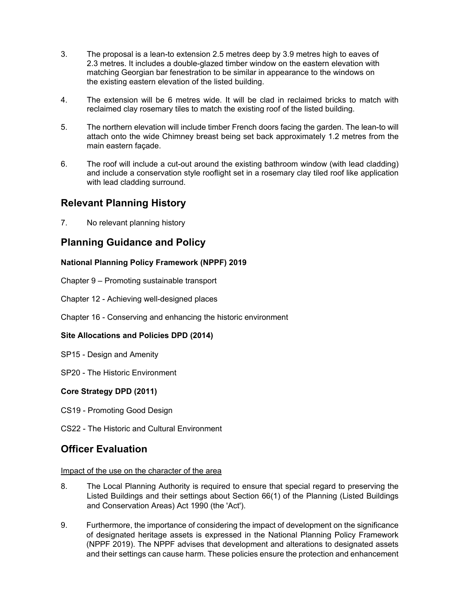- 3. The proposal is a lean-to extension 2.5 metres deep by 3.9 metres high to eaves of 2.3 metres. It includes a double-glazed timber window on the eastern elevation with matching Georgian bar fenestration to be similar in appearance to the windows on the existing eastern elevation of the listed building.
- 4. The extension will be 6 metres wide. It will be clad in reclaimed bricks to match with reclaimed clay rosemary tiles to match the existing roof of the listed building.
- 5. The northern elevation will include timber French doors facing the garden. The lean-to will attach onto the wide Chimney breast being set back approximately 1.2 metres from the main eastern façade.
- 6. The roof will include a cut-out around the existing bathroom window (with lead cladding) and include a conservation style rooflight set in a rosemary clay tiled roof like application with lead cladding surround.

### **Relevant Planning History**

7. No relevant planning history

# **Planning Guidance and Policy**

### **National Planning Policy Framework (NPPF) 2019**

- Chapter 9 Promoting sustainable transport
- Chapter 12 Achieving well-designed places
- Chapter 16 Conserving and enhancing the historic environment

### **Site Allocations and Policies DPD (2014)**

- SP15 Design and Amenity
- SP20 The Historic Environment

### **Core Strategy DPD (2011)**

- CS19 Promoting Good Design
- CS22 The Historic and Cultural Environment

## **Officer Evaluation**

#### Impact of the use on the character of the area

- 8. The Local Planning Authority is required to ensure that special regard to preserving the Listed Buildings and their settings about Section 66(1) of the Planning (Listed Buildings and Conservation Areas) Act 1990 (the 'Act').
- 9. Furthermore, the importance of considering the impact of development on the significance of designated heritage assets is expressed in the National Planning Policy Framework (NPPF 2019). The NPPF advises that development and alterations to designated assets and their settings can cause harm. These policies ensure the protection and enhancement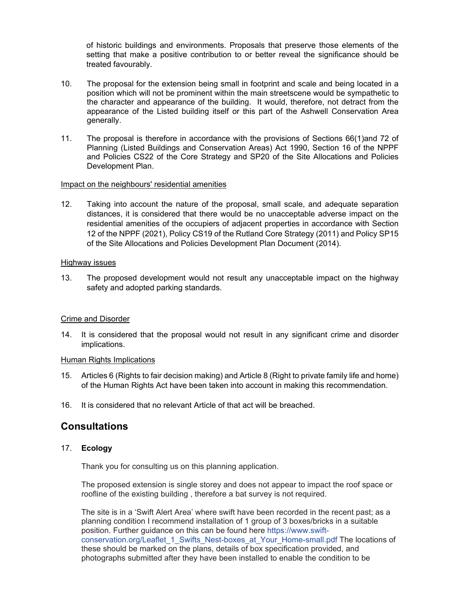of historic buildings and environments. Proposals that preserve those elements of the setting that make a positive contribution to or better reveal the significance should be treated favourably.

- 10. The proposal for the extension being small in footprint and scale and being located in a position which will not be prominent within the main streetscene would be sympathetic to the character and appearance of the building. It would, therefore, not detract from the appearance of the Listed building itself or this part of the Ashwell Conservation Area generally.
- 11. The proposal is therefore in accordance with the provisions of Sections 66(1)and 72 of Planning (Listed Buildings and Conservation Areas) Act 1990, Section 16 of the NPPF and Policies CS22 of the Core Strategy and SP20 of the Site Allocations and Policies Development Plan.

#### Impact on the neighbours' residential amenities

12. Taking into account the nature of the proposal, small scale, and adequate separation distances, it is considered that there would be no unacceptable adverse impact on the residential amenities of the occupiers of adjacent properties in accordance with Section 12 of the NPPF (2021), Policy CS19 of the Rutland Core Strategy (2011) and Policy SP15 of the Site Allocations and Policies Development Plan Document (2014).

#### Highway issues

13. The proposed development would not result any unacceptable impact on the highway safety and adopted parking standards.

#### Crime and Disorder

14. It is considered that the proposal would not result in any significant crime and disorder implications.

#### Human Rights Implications

- 15. Articles 6 (Rights to fair decision making) and Article 8 (Right to private family life and home) of the Human Rights Act have been taken into account in making this recommendation.
- 16. It is considered that no relevant Article of that act will be breached.

## **Consultations**

#### 17. **Ecology**

Thank you for consulting us on this planning application.

The proposed extension is single storey and does not appear to impact the roof space or roofline of the existing building , therefore a bat survey is not required.

The site is in a 'Swift Alert Area' where swift have been recorded in the recent past; as a planning condition I recommend installation of 1 group of 3 boxes/bricks in a suitable position. Further guidance on this can be found here https://www.swiftconservation.org/Leaflet\_1\_Swifts\_Nest-boxes\_at\_Your\_Home-small.pdf The locations of these should be marked on the plans, details of box specification provided, and photographs submitted after they have been installed to enable the condition to be